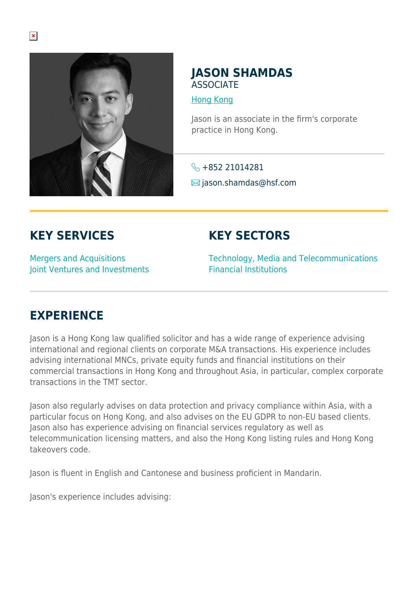

## **JASON SHAMDAS ASSOCIATE**

[Hong Kong](https://www.herbertsmithfreehills.com/where-we-work/hong-kong)

Jason is an associate in the firm's corporate practice in Hong Kong.

 $\leftarrow +85221014281$  $\blacksquare$  jason.shamdas@hsf.com

## **KEY SERVICES**

**KEY SECTORS**

Mergers and Acquisitions Joint Ventures and Investments Technology, Media and Telecommunications Financial Institutions

## **EXPERIENCE**

Jason is a Hong Kong law qualified solicitor and has a wide range of experience advising international and regional clients on corporate M&A transactions. His experience includes advising international MNCs, private equity funds and financial institutions on their commercial transactions in Hong Kong and throughout Asia, in particular, complex corporate transactions in the TMT sector.

Jason also regularly advises on data protection and privacy compliance within Asia, with a particular focus on Hong Kong, and also advises on the EU GDPR to non-EU based clients. Jason also has experience advising on financial services regulatory as well as telecommunication licensing matters, and also the Hong Kong listing rules and Hong Kong takeovers code.

Jason is fluent in English and Cantonese and business proficient in Mandarin.

Jason's experience includes advising: